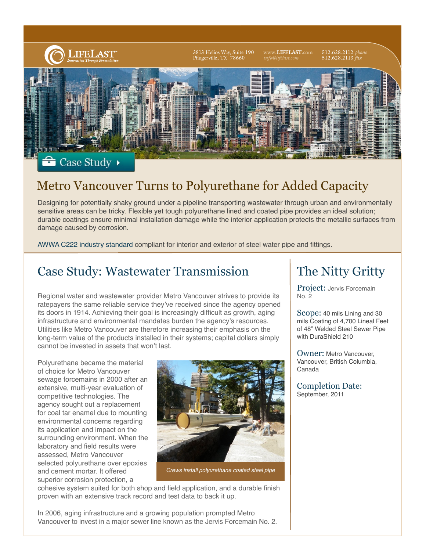

#### Case Study

## Metro Vancouver Turns to Polyurethane for Added Capacity

Designing for potentially shaky ground under a pipeline transporting wastewater through urban and environmentally sensitive areas can be tricky. Flexible yet tough polyurethane lined and coated pipe provides an ideal solution; durable coatings ensure minimal installation damage while the interior application protects the metallic surfaces from damage caused by corrosion.

AWWA C222 industry standard compliant for interior and exterior of steel water pipe and fittings.

### Case Study: Wastewater Transmission

Regional water and wastewater provider Metro Vancouver strives to provide its ratepayers the same reliable service they've received since the agency opened its doors in 1914. Achieving their goal is increasingly difficult as growth, aging infrastructure and environmental mandates burden the agency's resources. Utilities like Metro Vancouver are therefore increasing their emphasis on the long-term value of the products installed in their systems; capital dollars simply cannot be invested in assets that won't last.

Polyurethane became the material of choice for Metro Vancouver sewage forcemains in 2000 after an extensive, multi-year evaluation of competitive technologies. The agency sought out a replacement for coal tar enamel due to mounting environmental concerns regarding its application and impact on the surrounding environment. When the laboratory and field results were assessed, Metro Vancouver selected polyurethane over epoxies and cement mortar. It offered superior corrosion protection, a



*Crews install polyurethane coated steel pipe*

cohesive system suited for both shop and field application, and a durable finish proven with an extensive track record and test data to back it up.

## The Nitty Gritty

Project: Jervis Forcemain No. 2

Scope: 40 mils Lining and 30 mils Coating of 4,700 Lineal Feet of 48" Welded Steel Sewer Pipe with DuraShield 210

Owner: Metro Vancouver, Vancouver, British Columbia, Canada

Completion Date: September, 2011

In 2006, aging infrastructure and a growing population prompted Metro Vancouver to invest in a major sewer line known as the Jervis Forcemain No. 2.